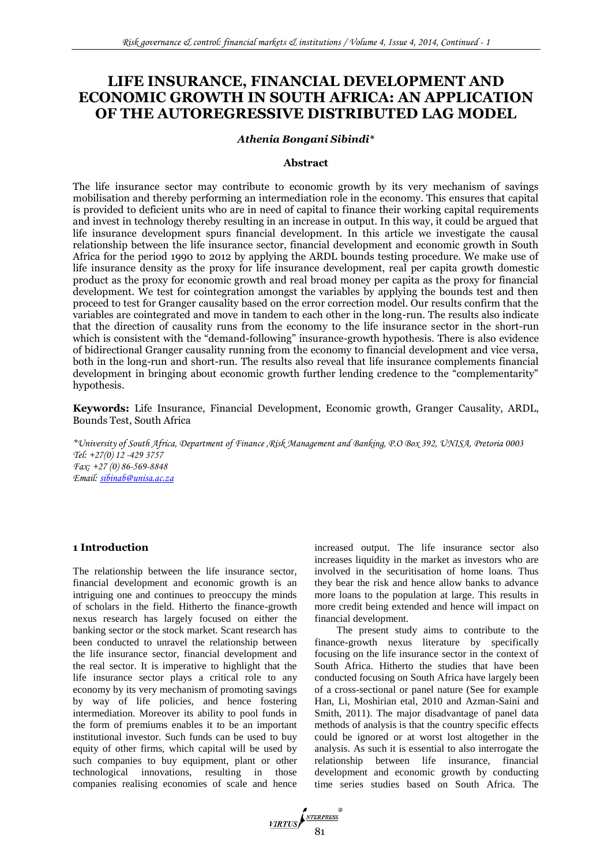# **LIFE INSURANCE, FINANCIAL DEVELOPMENT AND ECONOMIC GROWTH IN SOUTH AFRICA: AN APPLICATION OF THE AUTOREGRESSIVE DISTRIBUTED LAG MODEL**

# *Athenia Bongani Sibindi\**

### **Abstract**

The life insurance sector may contribute to economic growth by its very mechanism of savings mobilisation and thereby performing an intermediation role in the economy. This ensures that capital is provided to deficient units who are in need of capital to finance their working capital requirements and invest in technology thereby resulting in an increase in output. In this way, it could be argued that life insurance development spurs financial development. In this article we investigate the causal relationship between the life insurance sector, financial development and economic growth in South Africa for the period 1990 to 2012 by applying the ARDL bounds testing procedure. We make use of life insurance density as the proxy for life insurance development, real per capita growth domestic product as the proxy for economic growth and real broad money per capita as the proxy for financial development. We test for cointegration amongst the variables by applying the bounds test and then proceed to test for Granger causality based on the error correction model. Our results confirm that the variables are cointegrated and move in tandem to each other in the long-run. The results also indicate that the direction of causality runs from the economy to the life insurance sector in the short-run which is consistent with the "demand-following" insurance-growth hypothesis. There is also evidence of bidirectional Granger causality running from the economy to financial development and vice versa, both in the long-run and short-run. The results also reveal that life insurance complements financial development in bringing about economic growth further lending credence to the "complementarity" hypothesis.

**Keywords:** Life Insurance, Financial Development, Economic growth, Granger Causality, ARDL, Bounds Test, South Africa

*\*University of South Africa, Department of Finance ,Risk Management and Banking, P.O Box 392, UNISA, Pretoria 0003 Tel: +27(0) 12 -429 3757 Fax: +27 (0) 86-569-8848 Email: [sibinab@unisa.ac.za](mailto:sibinab@unisa.ac.za)*

# **1 Introduction**

The relationship between the life insurance sector, financial development and economic growth is an intriguing one and continues to preoccupy the minds of scholars in the field. Hitherto the finance-growth nexus research has largely focused on either the banking sector or the stock market. Scant research has been conducted to unravel the relationship between the life insurance sector, financial development and the real sector. It is imperative to highlight that the life insurance sector plays a critical role to any economy by its very mechanism of promoting savings by way of life policies, and hence fostering intermediation. Moreover its ability to pool funds in the form of premiums enables it to be an important institutional investor. Such funds can be used to buy equity of other firms, which capital will be used by such companies to buy equipment, plant or other technological innovations, resulting in those companies realising economies of scale and hence increased output. The life insurance sector also increases liquidity in the market as investors who are involved in the securitisation of home loans. Thus they bear the risk and hence allow banks to advance more loans to the population at large. This results in more credit being extended and hence will impact on financial development.

The present study aims to contribute to the finance-growth nexus literature by specifically focusing on the life insurance sector in the context of South Africa. Hitherto the studies that have been conducted focusing on South Africa have largely been of a cross-sectional or panel nature (See for example Han, Li, Moshirian etal, 2010 and Azman-Saini and Smith, 2011). The major disadvantage of panel data methods of analysis is that the country specific effects could be ignored or at worst lost altogether in the analysis. As such it is essential to also interrogate the relationship between life insurance, financial development and economic growth by conducting time series studies based on South Africa. The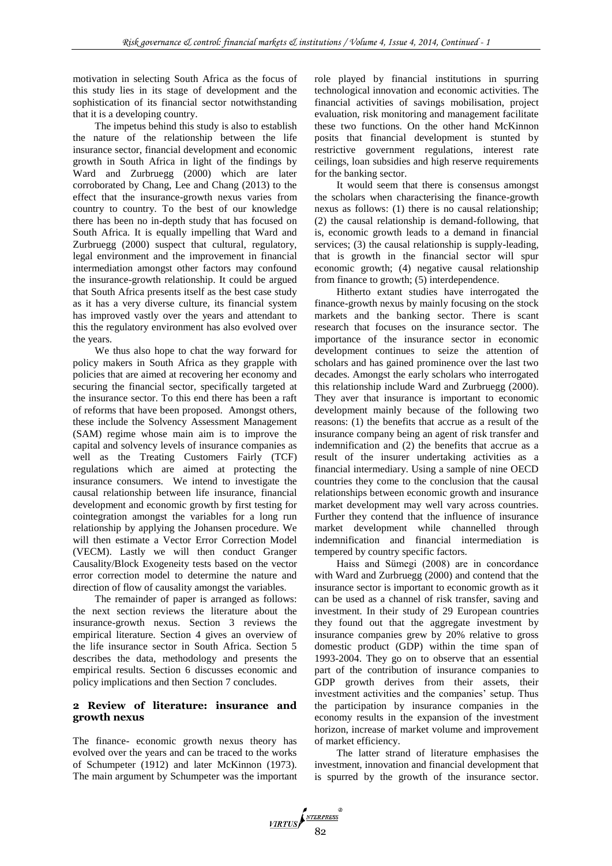motivation in selecting South Africa as the focus of this study lies in its stage of development and the sophistication of its financial sector notwithstanding that it is a developing country.

The impetus behind this study is also to establish the nature of the relationship between the life insurance sector, financial development and economic growth in South Africa in light of the findings by Ward and Zurbruegg (2000) which are later corroborated by Chang, Lee and Chang (2013) to the effect that the insurance-growth nexus varies from country to country. To the best of our knowledge there has been no in-depth study that has focused on South Africa. It is equally impelling that Ward and Zurbruegg (2000) suspect that cultural, regulatory, legal environment and the improvement in financial intermediation amongst other factors may confound the insurance-growth relationship. It could be argued that South Africa presents itself as the best case study as it has a very diverse culture, its financial system has improved vastly over the years and attendant to this the regulatory environment has also evolved over the years.

We thus also hope to chat the way forward for policy makers in South Africa as they grapple with policies that are aimed at recovering her economy and securing the financial sector, specifically targeted at the insurance sector. To this end there has been a raft of reforms that have been proposed. Amongst others, these include the Solvency Assessment Management (SAM) regime whose main aim is to improve the capital and solvency levels of insurance companies as well as the Treating Customers Fairly (TCF) regulations which are aimed at protecting the insurance consumers. We intend to investigate the causal relationship between life insurance, financial development and economic growth by first testing for cointegration amongst the variables for a long run relationship by applying the Johansen procedure. We will then estimate a Vector Error Correction Model (VECM). Lastly we will then conduct Granger Causality/Block Exogeneity tests based on the vector error correction model to determine the nature and direction of flow of causality amongst the variables.

The remainder of paper is arranged as follows: the next section reviews the literature about the insurance-growth nexus. Section 3 reviews the empirical literature. Section 4 gives an overview of the life insurance sector in South Africa. Section 5 describes the data, methodology and presents the empirical results. Section 6 discusses economic and policy implications and then Section 7 concludes.

## **2 Review of literature: insurance and growth nexus**

The finance- economic growth nexus theory has evolved over the years and can be traced to the works of Schumpeter (1912) and later McKinnon (1973). The main argument by Schumpeter was the important role played by financial institutions in spurring technological innovation and economic activities. The financial activities of savings mobilisation, project evaluation, risk monitoring and management facilitate these two functions. On the other hand McKinnon posits that financial development is stunted by restrictive government regulations, interest rate ceilings, loan subsidies and high reserve requirements for the banking sector.

It would seem that there is consensus amongst the scholars when characterising the finance-growth nexus as follows: (1) there is no causal relationship; (2) the causal relationship is demand-following, that is, economic growth leads to a demand in financial services; (3) the causal relationship is supply-leading, that is growth in the financial sector will spur economic growth; (4) negative causal relationship from finance to growth; (5) interdependence.

Hitherto extant studies have interrogated the finance-growth nexus by mainly focusing on the stock markets and the banking sector. There is scant research that focuses on the insurance sector. The importance of the insurance sector in economic development continues to seize the attention of scholars and has gained prominence over the last two decades. Amongst the early scholars who interrogated this relationship include Ward and Zurbruegg (2000). They aver that insurance is important to economic development mainly because of the following two reasons: (1) the benefits that accrue as a result of the insurance company being an agent of risk transfer and indemnification and (2) the benefits that accrue as a result of the insurer undertaking activities as a financial intermediary. Using a sample of nine OECD countries they come to the conclusion that the causal relationships between economic growth and insurance market development may well vary across countries. Further they contend that the influence of insurance market development while channelled through indemnification and financial intermediation is tempered by country specific factors.

Haiss and Sümegi (2008) are in concordance with Ward and Zurbruegg (2000) and contend that the insurance sector is important to economic growth as it can be used as a channel of risk transfer, saving and investment. In their study of 29 European countries they found out that the aggregate investment by insurance companies grew by 20% relative to gross domestic product (GDP) within the time span of 1993-2004. They go on to observe that an essential part of the contribution of insurance companies to GDP growth derives from their assets, their investment activities and the companies' setup. Thus the participation by insurance companies in the economy results in the expansion of the investment horizon, increase of market volume and improvement of market efficiency.

The latter strand of literature emphasises the investment, innovation and financial development that is spurred by the growth of the insurance sector.

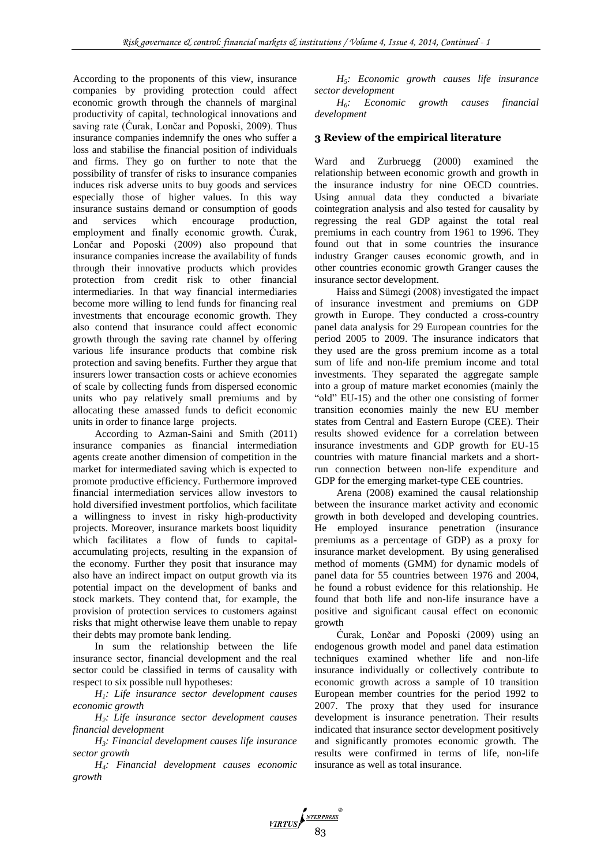According to the proponents of this view, insurance companies by providing protection could affect economic growth through the channels of marginal productivity of capital, technological innovations and saving rate (Ćurak, Lončar and Poposki, 2009). Thus insurance companies indemnify the ones who suffer a loss and stabilise the financial position of individuals and firms. They go on further to note that the possibility of transfer of risks to insurance companies induces risk adverse units to buy goods and services especially those of higher values. In this way insurance sustains demand or consumption of goods and services which encourage production, employment and finally economic growth. Ćurak, Lončar and Poposki (2009) also propound that insurance companies increase the availability of funds through their innovative products which provides protection from credit risk to other financial intermediaries. In that way financial intermediaries become more willing to lend funds for financing real investments that encourage economic growth. They also contend that insurance could affect economic growth through the saving rate channel by offering various life insurance products that combine risk protection and saving benefits. Further they argue that insurers lower transaction costs or achieve economies of scale by collecting funds from dispersed economic units who pay relatively small premiums and by allocating these amassed funds to deficit economic units in order to finance large projects.

According to Azman-Saini and Smith (2011) insurance companies as financial intermediation agents create another dimension of competition in the market for intermediated saving which is expected to promote productive efficiency. Furthermore improved financial intermediation services allow investors to hold diversified investment portfolios, which facilitate a willingness to invest in risky high-productivity projects. Moreover, insurance markets boost liquidity which facilitates a flow of funds to capitalaccumulating projects, resulting in the expansion of the economy. Further they posit that insurance may also have an indirect impact on output growth via its potential impact on the development of banks and stock markets. They contend that, for example, the provision of protection services to customers against risks that might otherwise leave them unable to repay their debts may promote bank lending.

In sum the relationship between the life insurance sector, financial development and the real sector could be classified in terms of causality with respect to six possible null hypotheses:

*H1: Life insurance sector development causes economic growth*

*H2: Life insurance sector development causes financial development*

*H3: Financial development causes life insurance sector growth*

*H4: Financial development causes economic growth*

*H5: Economic growth causes life insurance sector development*

*H6: Economic growth causes financial development*

## **3 Review of the empirical literature**

Ward and Zurbruegg (2000) examined the relationship between economic growth and growth in the insurance industry for nine OECD countries. Using annual data they conducted a bivariate cointegration analysis and also tested for causality by regressing the real GDP against the total real premiums in each country from 1961 to 1996. They found out that in some countries the insurance industry Granger causes economic growth, and in other countries economic growth Granger causes the insurance sector development.

Haiss and Sümegi (2008) investigated the impact of insurance investment and premiums on GDP growth in Europe. They conducted a cross-country panel data analysis for 29 European countries for the period 2005 to 2009. The insurance indicators that they used are the gross premium income as a total sum of life and non-life premium income and total investments. They separated the aggregate sample into a group of mature market economies (mainly the "old" EU-15) and the other one consisting of former transition economies mainly the new EU member states from Central and Eastern Europe (CEE). Their results showed evidence for a correlation between insurance investments and GDP growth for EU-15 countries with mature financial markets and a shortrun connection between non-life expenditure and GDP for the emerging market-type CEE countries.

Arena (2008) examined the causal relationship between the insurance market activity and economic growth in both developed and developing countries. He employed insurance penetration (insurance premiums as a percentage of GDP) as a proxy for insurance market development. By using generalised method of moments (GMM) for dynamic models of panel data for 55 countries between 1976 and 2004, he found a robust evidence for this relationship. He found that both life and non-life insurance have a positive and significant causal effect on economic growth

Ćurak, Lončar and Poposki (2009) using an endogenous growth model and panel data estimation techniques examined whether life and non-life insurance individually or collectively contribute to economic growth across a sample of 10 transition European member countries for the period 1992 to 2007. The proxy that they used for insurance development is insurance penetration. Their results indicated that insurance sector development positively and significantly promotes economic growth. The results were confirmed in terms of life, non-life insurance as well as total insurance.

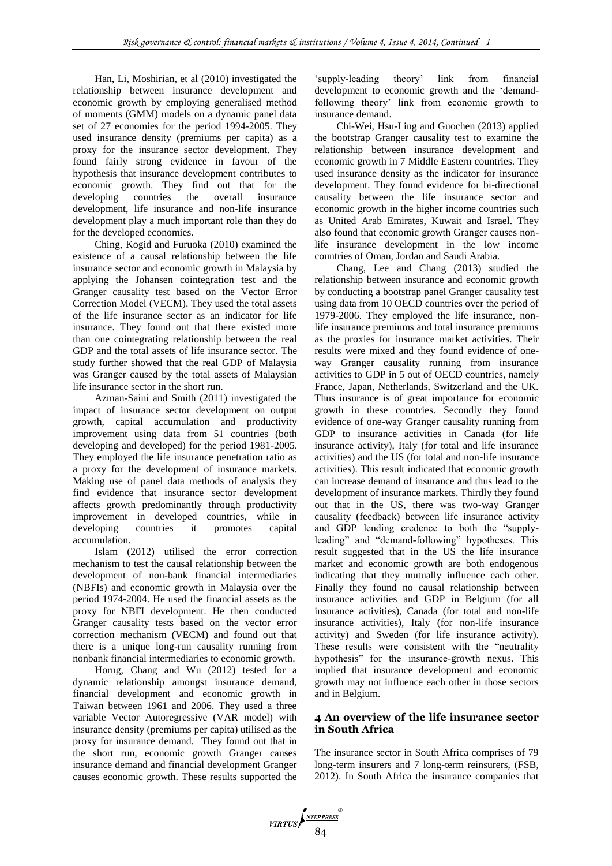Han, Li, Moshirian, et al (2010) investigated the relationship between insurance development and economic growth by employing generalised method of moments (GMM) models on a dynamic panel data set of 27 economies for the period 1994-2005. They used insurance density (premiums per capita) as a proxy for the insurance sector development. They found fairly strong evidence in favour of the hypothesis that insurance development contributes to economic growth. They find out that for the developing countries the overall insurance development, life insurance and non-life insurance development play a much important role than they do for the developed economies.

Ching, Kogid and Furuoka (2010) examined the existence of a causal relationship between the life insurance sector and economic growth in Malaysia by applying the Johansen cointegration test and the Granger causality test based on the Vector Error Correction Model (VECM). They used the total assets of the life insurance sector as an indicator for life insurance. They found out that there existed more than one cointegrating relationship between the real GDP and the total assets of life insurance sector. The study further showed that the real GDP of Malaysia was Granger caused by the total assets of Malaysian life insurance sector in the short run.

Azman-Saini and Smith (2011) investigated the impact of insurance sector development on output growth, capital accumulation and productivity improvement using data from 51 countries (both developing and developed) for the period 1981-2005. They employed the life insurance penetration ratio as a proxy for the development of insurance markets. Making use of panel data methods of analysis they find evidence that insurance sector development affects growth predominantly through productivity improvement in developed countries, while in developing countries it promotes capital accumulation.

Islam (2012) utilised the error correction mechanism to test the causal relationship between the development of non-bank financial intermediaries (NBFIs) and economic growth in Malaysia over the period 1974-2004. He used the financial assets as the proxy for NBFI development. He then conducted Granger causality tests based on the vector error correction mechanism (VECM) and found out that there is a unique long-run causality running from nonbank financial intermediaries to economic growth.

Horng, Chang and Wu (2012) tested for a dynamic relationship amongst insurance demand, financial development and economic growth in Taiwan between 1961 and 2006. They used a three variable Vector Autoregressive (VAR model) with insurance density (premiums per capita) utilised as the proxy for insurance demand. They found out that in the short run, economic growth Granger causes insurance demand and financial development Granger causes economic growth. These results supported the

'supply-leading theory' link from financial development to economic growth and the 'demandfollowing theory' link from economic growth to insurance demand.

Chi-Wei, Hsu-Ling and Guochen (2013) applied the bootstrap Granger causality test to examine the relationship between insurance development and economic growth in 7 Middle Eastern countries. They used insurance density as the indicator for insurance development. They found evidence for bi-directional causality between the life insurance sector and economic growth in the higher income countries such as United Arab Emirates, Kuwait and Israel. They also found that economic growth Granger causes nonlife insurance development in the low income countries of Oman, Jordan and Saudi Arabia.

Chang, Lee and Chang (2013) studied the relationship between insurance and economic growth by conducting a bootstrap panel Granger causality test using data from 10 OECD countries over the period of 1979-2006. They employed the life insurance, nonlife insurance premiums and total insurance premiums as the proxies for insurance market activities. Their results were mixed and they found evidence of oneway Granger causality running from insurance activities to GDP in 5 out of OECD countries, namely France, Japan, Netherlands, Switzerland and the UK. Thus insurance is of great importance for economic growth in these countries. Secondly they found evidence of one-way Granger causality running from GDP to insurance activities in Canada (for life insurance activity), Italy (for total and life insurance activities) and the US (for total and non-life insurance activities). This result indicated that economic growth can increase demand of insurance and thus lead to the development of insurance markets. Thirdly they found out that in the US, there was two-way Granger causality (feedback) between life insurance activity and GDP lending credence to both the "supplyleading" and "demand-following" hypotheses. This result suggested that in the US the life insurance market and economic growth are both endogenous indicating that they mutually influence each other. Finally they found no causal relationship between insurance activities and GDP in Belgium (for all insurance activities), Canada (for total and non-life insurance activities), Italy (for non-life insurance activity) and Sweden (for life insurance activity). These results were consistent with the "neutrality hypothesis" for the insurance-growth nexus. This implied that insurance development and economic growth may not influence each other in those sectors and in Belgium.

# **4 An overview of the life insurance sector in South Africa**

The insurance sector in South Africa comprises of 79 long-term insurers and 7 long-term reinsurers, (FSB, 2012). In South Africa the insurance companies that

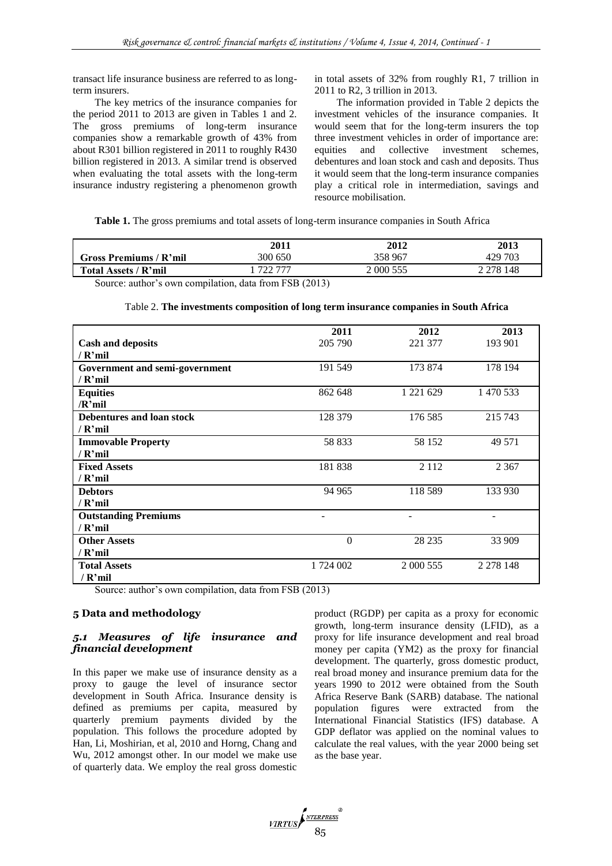transact life insurance business are referred to as longterm insurers.

The key metrics of the insurance companies for the period 2011 to 2013 are given in Tables 1 and 2. The gross premiums of long-term insurance companies show a remarkable growth of 43% from about R301 billion registered in 2011 to roughly R430 billion registered in 2013. A similar trend is observed when evaluating the total assets with the long-term insurance industry registering a phenomenon growth in total assets of 32% from roughly R1, 7 trillion in 2011 to R2, 3 trillion in 2013.

The information provided in Table 2 depicts the investment vehicles of the insurance companies. It would seem that for the long-term insurers the top three investment vehicles in order of importance are: equities and collective investment schemes, debentures and loan stock and cash and deposits. Thus it would seem that the long-term insurance companies play a critical role in intermediation, savings and resource mobilisation.

**Table 1.** The gross premiums and total assets of long-term insurance companies in South Africa

|                        | <b>2011</b>                                                                                                                                                                                                                                                                                                                                                                                                                                       | 2012      | 2013          |
|------------------------|---------------------------------------------------------------------------------------------------------------------------------------------------------------------------------------------------------------------------------------------------------------------------------------------------------------------------------------------------------------------------------------------------------------------------------------------------|-----------|---------------|
| Gross Premiums / R'mil | 300 650                                                                                                                                                                                                                                                                                                                                                                                                                                           | 358 967   | 429 703       |
| Total Assets / R'mil   | 722 777                                                                                                                                                                                                                                                                                                                                                                                                                                           | 2 000 555 | 2 2 7 8 1 4 8 |
|                        | $\overline{m}$ $\overline{m}$ $\overline{n}$ $\overline{n}$ $\overline{n}$ $\overline{n}$ $\overline{n}$ $\overline{n}$ $\overline{n}$ $\overline{n}$ $\overline{n}$ $\overline{n}$ $\overline{n}$ $\overline{n}$ $\overline{n}$ $\overline{n}$ $\overline{n}$ $\overline{n}$ $\overline{n}$ $\overline{n}$ $\overline{n}$ $\overline{n}$ $\overline{n}$ $\overline{n}$ $\overline{n}$ $\overline{n}$ $\overline{n}$ $\over$<br>$\cdots$ $\cdots$ |           |               |

Source: author's own compilation, data from FSB (2013)

|                                | 2011      | 2012          | 2013          |
|--------------------------------|-----------|---------------|---------------|
| <b>Cash and deposits</b>       | 205 790   | 221 377       | 193 901       |
| / $R'mil$                      |           |               |               |
| Government and semi-government | 191 549   | 173 874       | 178 194       |
| / R'mil                        |           |               |               |
| <b>Equities</b>                | 862 648   | 1 2 2 1 6 2 9 | 1 470 533     |
| $/R$ 'mil                      |           |               |               |
| Debentures and loan stock      | 128 379   | 176 585       | 215 743       |
| $/$ R'mil                      |           |               |               |
| <b>Immovable Property</b>      | 58 833    | 58 152        | 49 571        |
| $/$ R'mil                      |           |               |               |
| <b>Fixed Assets</b>            | 181 838   | 2 1 1 2       | 2 3 6 7       |
| / $R'mil$                      |           |               |               |
| <b>Debtors</b>                 | 94 965    | 118 589       | 133 930       |
| $/$ R'mil                      |           |               |               |
| <b>Outstanding Premiums</b>    |           |               |               |
| / R'mil                        |           |               |               |
| <b>Other Assets</b>            | $\Omega$  | 28 235        | 33 909        |
| / R'mil                        |           |               |               |
| <b>Total Assets</b>            | 1 724 002 | 2 000 555     | 2 2 7 8 1 4 8 |
| / R'mil                        |           |               |               |

Source: author's own compilation, data from FSB (2013)

# **5 Data and methodology**

# *5.1 Measures of life insurance and financial development*

In this paper we make use of insurance density as a proxy to gauge the level of insurance sector development in South Africa. Insurance density is defined as premiums per capita, measured by quarterly premium payments divided by the population. This follows the procedure adopted by Han, Li, Moshirian, et al, 2010 and Horng, Chang and Wu, 2012 amongst other. In our model we make use of quarterly data. We employ the real gross domestic

product (RGDP) per capita as a proxy for economic growth, long-term insurance density (LFID), as a proxy for life insurance development and real broad money per capita (YM2) as the proxy for financial development. The quarterly, gross domestic product, real broad money and insurance premium data for the years 1990 to 2012 were obtained from the South Africa Reserve Bank (SARB) database. The national population figures were extracted from the International Financial Statistics (IFS) database. A GDP deflator was applied on the nominal values to calculate the real values, with the year 2000 being set as the base year.

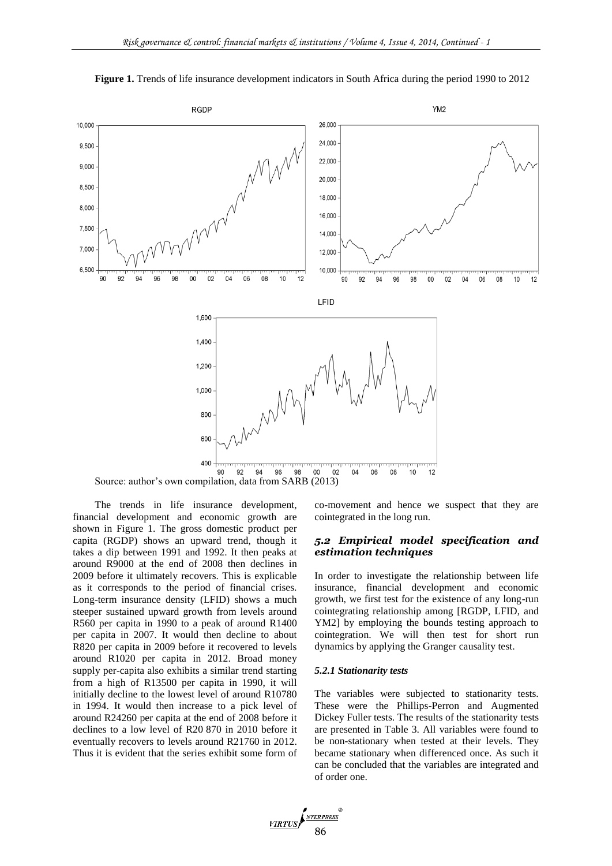

**Figure 1.** Trends of life insurance development indicators in South Africa during the period 1990 to 2012

Source: author's own compilation, data from SARB (2013)

The trends in life insurance development, financial development and economic growth are shown in Figure 1. The gross domestic product per capita (RGDP) shows an upward trend, though it takes a dip between 1991 and 1992. It then peaks at around R9000 at the end of 2008 then declines in 2009 before it ultimately recovers. This is explicable as it corresponds to the period of financial crises. Long-term insurance density (LFID) shows a much steeper sustained upward growth from levels around R560 per capita in 1990 to a peak of around R1400 per capita in 2007. It would then decline to about R820 per capita in 2009 before it recovered to levels around R1020 per capita in 2012. Broad money supply per-capita also exhibits a similar trend starting from a high of R13500 per capita in 1990, it will initially decline to the lowest level of around R10780 in 1994. It would then increase to a pick level of around R24260 per capita at the end of 2008 before it declines to a low level of R20 870 in 2010 before it eventually recovers to levels around R21760 in 2012. Thus it is evident that the series exhibit some form of co-movement and hence we suspect that they are cointegrated in the long run.

#### *5.2 Empirical model specification and estimation techniques*

In order to investigate the relationship between life insurance, financial development and economic growth, we first test for the existence of any long-run cointegrating relationship among [RGDP, LFID, and YM2] by employing the bounds testing approach to cointegration. We will then test for short run dynamics by applying the Granger causality test.

#### *5.2.1 Stationarity tests*

The variables were subjected to stationarity tests. These were the Phillips-Perron and Augmented Dickey Fuller tests. The results of the stationarity tests are presented in Table 3. All variables were found to be non-stationary when tested at their levels. They became stationary when differenced once. As such it can be concluded that the variables are integrated and of order one.

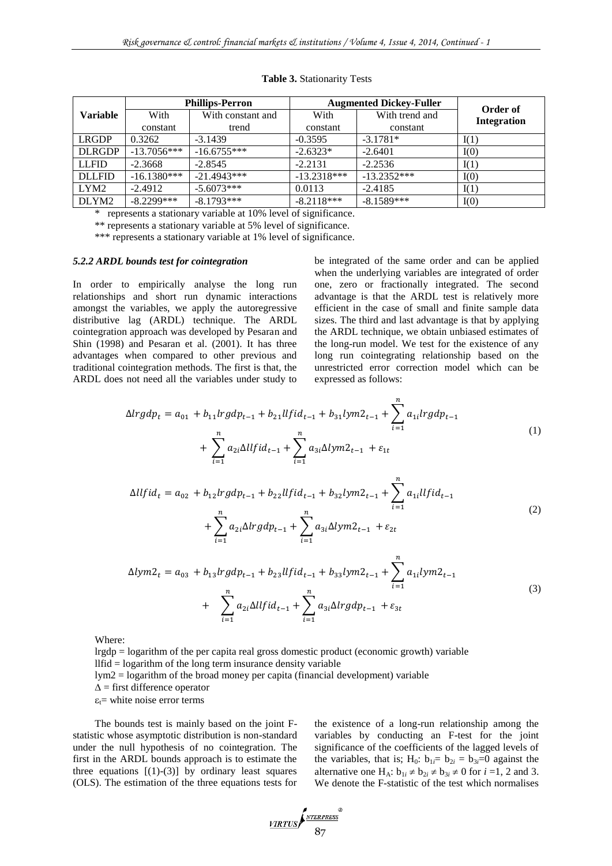|                   |               | <b>Phillips-Perron</b> | <b>Augmented Dickey-Fuller</b> |                |                                |
|-------------------|---------------|------------------------|--------------------------------|----------------|--------------------------------|
| <b>Variable</b>   | With          | With constant and      | With                           | With trend and | Order of<br><b>Integration</b> |
|                   | constant      | trend                  | constant                       | constant       |                                |
| <b>LRGDP</b>      | 0.3262        | $-3.1439$              | $-0.3595$                      | $-3.1781*$     | I(1)                           |
| <b>DLRGDP</b>     | $-13.7056***$ | $-16.6755***$          | $-2.6323*$                     | $-2.6401$      | I(0)                           |
| <b>LLFID</b>      | $-2.3668$     | $-2.8545$              | $-2.2131$                      | $-2.2536$      | I(1)                           |
| <b>DLLFID</b>     | $-16.1380***$ | $-21.4943***$          | $-13.2318***$                  | $-13.2352***$  | I(0)                           |
| LYM <sub>2</sub>  | $-2.4912$     | $-5.6073***$           | 0.0113                         | $-2.4185$      | I(1)                           |
| DLYM <sub>2</sub> | $-8.2299***$  | $-8.1793***$           | $-8.2118***$                   | $-8.1589***$   | I(0)                           |

#### **Table 3.** Stationarity Tests

represents a stationary variable at 10% level of significance.

\*\* represents a stationary variable at 5% level of significance.

\*\*\* represents a stationary variable at 1% level of significance.

#### *5.2.2 ARDL bounds test for cointegration*

In order to empirically analyse the long run relationships and short run dynamic interactions amongst the variables, we apply the autoregressive distributive lag (ARDL) technique. The ARDL cointegration approach was developed by Pesaran and Shin (1998) and Pesaran et al. (2001). It has three advantages when compared to other previous and traditional cointegration methods. The first is that, the ARDL does not need all the variables under study to be integrated of the same order and can be applied when the underlying variables are integrated of order one, zero or fractionally integrated. The second advantage is that the ARDL test is relatively more efficient in the case of small and finite sample data sizes. The third and last advantage is that by applying the ARDL technique, we obtain unbiased estimates of the long-run model. We test for the existence of any long run cointegrating relationship based on the unrestricted error correction model which can be expressed as follows:

$$
\Delta lrgdp_t = a_{01} + b_{11}lrgdp_{t-1} + b_{21}llfid_{t-1} + b_{31}lym2_{t-1} + \sum_{i=1}^n a_{1i}lrgdp_{t-1} + \sum_{i=1}^n a_{2i}\Delta llfid_{t-1} + \sum_{i=1}^n a_{3i}\Delta lym2_{t-1} + \varepsilon_{1t}
$$
\n(1)

$$
\Delta llfid_t = a_{02} + b_{12}lrgdp_{t-1} + b_{22}llfid_{t-1} + b_{32}lym2_{t-1} + \sum_{i=1}^n a_{1i}llfid_{t-1} + \sum_{i=1}^n a_{2i}\Delta lrgdp_{t-1} + \sum_{i=1}^n a_{3i}\Delta lym2_{t-1} + \varepsilon_{2t}
$$
\n
$$
(2)
$$

$$
\Delta lym2_t = a_{03} + b_{13}lrgdp_{t-1} + b_{23}llfid_{t-1} + b_{33}lym2_{t-1} + \sum_{i=1}^n a_{1i}lym2_{t-1} + \sum_{i=1}^n a_{2i}\Delta llfid_{t-1} + \sum_{i=1}^n a_{3i}\Delta lrgdp_{t-1} + \varepsilon_{3t}
$$
\n(3)

Where:

lrgdp = logarithm of the per capita real gross domestic product (economic growth) variable

 $ll$  llfid  $=$  logarithm of the long term insurance density variable

lym2 = logarithm of the broad money per capita (financial development) variable

 $\Delta$  = first difference operator

 $\varepsilon_t$ = white noise error terms

The bounds test is mainly based on the joint Fstatistic whose asymptotic distribution is non-standard under the null hypothesis of no cointegration. The first in the ARDL bounds approach is to estimate the three equations  $[(1)-(3)]$  by ordinary least squares (OLS). The estimation of the three equations tests for the existence of a long-run relationship among the variables by conducting an F-test for the joint significance of the coefficients of the lagged levels of the variables, that is; H<sub>0</sub>:  $b_{1i} = b_{2i} = b_{3i} = 0$  against the alternative one H<sub>A</sub>:  $b_{1i} \neq b_{2i} \neq b_{3i} \neq 0$  for  $i = 1, 2$  and 3. We denote the F-statistic of the test which normalises

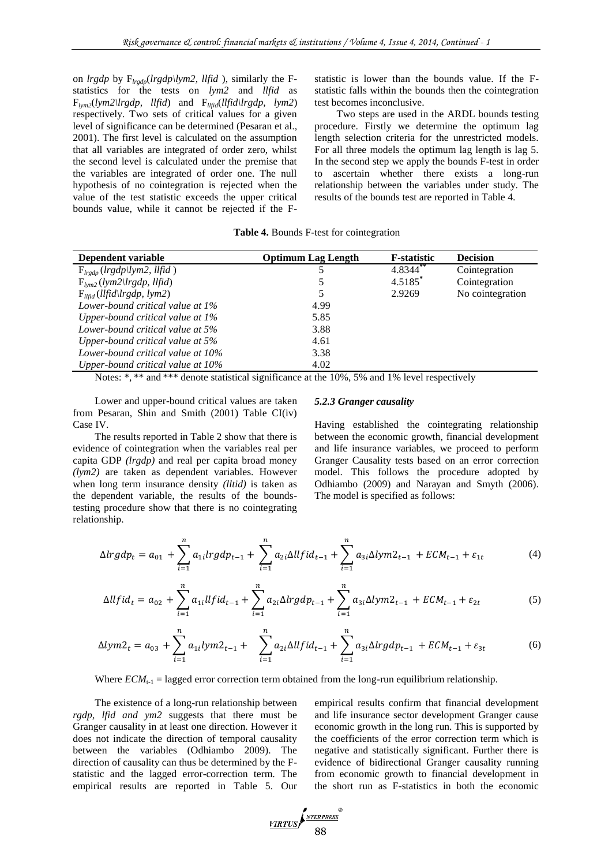on *lrgdp* by F*lrgdp*(*lrgdp\lym2, llfid* ), similarly the Fstatistics for the tests on *lym2* and *llfid* as F*lym2*(*lym2\lrgdp, llfid*) and F*llfid*(*llfid\lrgdp, lym2*) respectively. Two sets of critical values for a given level of significance can be determined (Pesaran et al., 2001). The first level is calculated on the assumption that all variables are integrated of order zero, whilst the second level is calculated under the premise that the variables are integrated of order one. The null hypothesis of no cointegration is rejected when the value of the test statistic exceeds the upper critical bounds value, while it cannot be rejected if the F-

statistic is lower than the bounds value. If the Fstatistic falls within the bounds then the cointegration test becomes inconclusive.

Two steps are used in the ARDL bounds testing procedure. Firstly we determine the optimum lag length selection criteria for the unrestricted models. For all three models the optimum lag length is lag 5. In the second step we apply the bounds F-test in order to ascertain whether there exists a long-run relationship between the variables under study. The results of the bounds test are reported in Table 4.

|  |  |  |  | Table 4. Bounds F-test for cointegration |  |
|--|--|--|--|------------------------------------------|--|
|--|--|--|--|------------------------------------------|--|

| Dependent variable                                        | <b>Optimum Lag Length</b> | <b>F</b> -statistic   | <b>Decision</b>  |
|-----------------------------------------------------------|---------------------------|-----------------------|------------------|
| $F_{lrqdp}$ ( <i>lrgdp</i> \ <i>lym2</i> , <i>llfid</i> ) |                           | 4.8344**              | Cointegration    |
| $F_{lvm2}(lvm2\lfloor lrgdp, llfid)$                      |                           | $4.5185$ <sup>*</sup> | Cointegration    |
| $F_{llfid}(llfid\langle lrgdp, lym2\rangle)$              | 5                         | 2.9269                | No cointegration |
| Lower-bound critical value at 1%                          | 4.99                      |                       |                  |
| Upper-bound critical value at 1%                          | 5.85                      |                       |                  |
| Lower-bound critical value at 5%                          | 3.88                      |                       |                  |
| Upper-bound critical value at 5%                          | 4.61                      |                       |                  |
| Lower-bound critical value at 10%                         | 3.38                      |                       |                  |
| Upper-bound critical value at 10%                         | 4.02                      |                       |                  |

Notes: \*, \*\* and \*\*\* denote statistical significance at the 10%, 5% and 1% level respectively

Lower and upper-bound critical values are taken from Pesaran, Shin and Smith (2001) Table CI(iv) Case IV.

The results reported in Table 2 show that there is evidence of cointegration when the variables real per capita GDP *(lrgdp)* and real per capita broad money *(lym2)* are taken as dependent variables. However when long term insurance density *(lltid)* is taken as the dependent variable, the results of the boundstesting procedure show that there is no cointegrating relationship.

# *5.2.3 Granger causality*

Having established the cointegrating relationship between the economic growth, financial development and life insurance variables, we proceed to perform Granger Causality tests based on an error correction model. This follows the procedure adopted by Odhiambo (2009) and Narayan and Smyth (2006). The model is specified as follows:

$$
\Delta lrgdp_t = a_{01} + \sum_{i=1}^n a_{1i}lrgdp_{t-1} + \sum_{i=1}^n a_{2i}\Delta llfid_{t-1} + \sum_{i=1}^n a_{3i}\Delta lym2_{t-1} + ECM_{t-1} + \varepsilon_{1t}
$$
(4)

$$
\Delta llfid_t = a_{02} + \sum_{i=1}^n a_{1i} llfid_{t-1} + \sum_{i=1}^n a_{2i} \Delta lrgdp_{t-1} + \sum_{i=1}^n a_{3i} \Delta lym2_{t-1} + ECM_{t-1} + \varepsilon_{2t}
$$
 (5)

$$
\Delta lym2_t = a_{03} + \sum_{i=1}^n a_{1i}lym2_{t-1} + \sum_{i=1}^n a_{2i}\Delta llfid_{t-1} + \sum_{i=1}^n a_{3i}\Delta lrgdp_{t-1} + ECM_{t-1} + \varepsilon_{3t}
$$
(6)

Where  $ECM_{t-1}$  = lagged error correction term obtained from the long-run equilibrium relationship.

The existence of a long-run relationship between *rgdp, lfid and ym2* suggests that there must be Granger causality in at least one direction. However it does not indicate the direction of temporal causality between the variables (Odhiambo 2009). The direction of causality can thus be determined by the Fstatistic and the lagged error-correction term. The empirical results are reported in Table 5. Our empirical results confirm that financial development and life insurance sector development Granger cause economic growth in the long run. This is supported by the coefficients of the error correction term which is negative and statistically significant. Further there is evidence of bidirectional Granger causality running from economic growth to financial development in the short run as F-statistics in both the economic

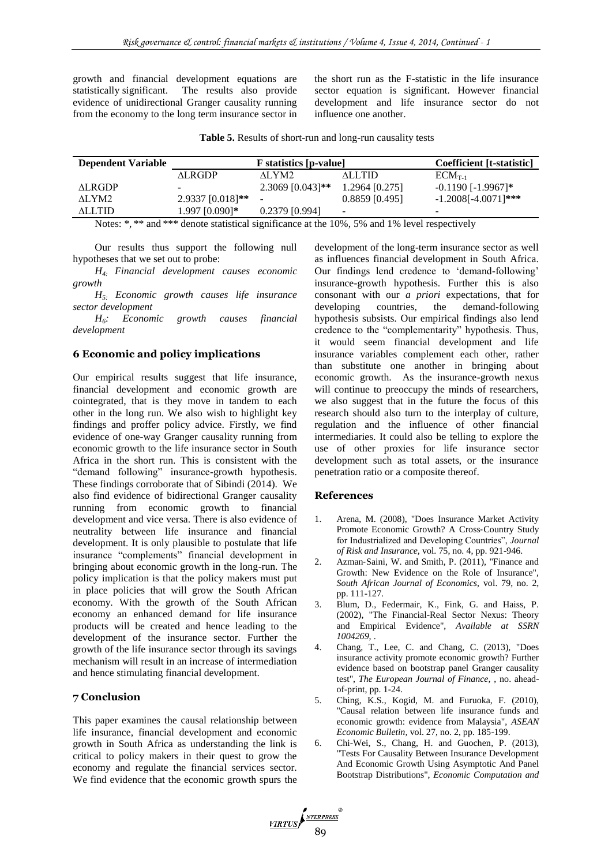growth and financial development equations are statistically significant. The results also provide evidence of unidirectional Granger causality running from the economy to the long term insurance sector in the short run as the F-statistic in the life insurance sector equation is significant. However financial development and life insurance sector do not influence one another.

| Table 5. Results of short-run and long-run causality tests |  |  |
|------------------------------------------------------------|--|--|
|------------------------------------------------------------|--|--|

| <b>F</b> statistics [p-value] |                    |                  | Coefficient [t-statistic] |
|-------------------------------|--------------------|------------------|---------------------------|
| ALRGDP                        | ALYM2              | <b>ALLTID</b>    | $ECM_{T-1}$               |
|                               | $2.3069$ [0.043]** | 1.2964 [0.275]   | $-0.1190$ [ $-1.9967$ ]*  |
| $2.9337$ [0.018]**            |                    | $0.8859$ [0.495] | $-1.2008[-4.0071]***$     |
| 1.997 [0.090]*                | $0.2379$ [0.994]   | $\sim$           | -                         |
|                               |                    |                  |                           |

Notes: \*, \*\* and \*\*\* denote statistical significance at the 10%, 5% and 1% level respectively

Our results thus support the following null hypotheses that we set out to probe:

*H4: Financial development causes economic growth*

*H5: Economic growth causes life insurance sector development*

*H6: Economic growth causes financial development*

# **6 Economic and policy implications**

Our empirical results suggest that life insurance, financial development and economic growth are cointegrated, that is they move in tandem to each other in the long run. We also wish to highlight key findings and proffer policy advice. Firstly, we find evidence of one-way Granger causality running from economic growth to the life insurance sector in South Africa in the short run. This is consistent with the "demand following" insurance-growth hypothesis. These findings corroborate that of Sibindi (2014). We also find evidence of bidirectional Granger causality running from economic growth to financial development and vice versa. There is also evidence of neutrality between life insurance and financial development. It is only plausible to postulate that life insurance "complements" financial development in bringing about economic growth in the long-run. The policy implication is that the policy makers must put in place policies that will grow the South African economy. With the growth of the South African economy an enhanced demand for life insurance products will be created and hence leading to the development of the insurance sector. Further the growth of the life insurance sector through its savings mechanism will result in an increase of intermediation and hence stimulating financial development.

# **7 Conclusion**

This paper examines the causal relationship between life insurance, financial development and economic growth in South Africa as understanding the link is critical to policy makers in their quest to grow the economy and regulate the financial services sector. We find evidence that the economic growth spurs the development of the long-term insurance sector as well as influences financial development in South Africa. Our findings lend credence to 'demand-following' insurance-growth hypothesis. Further this is also consonant with our *a priori* expectations, that for developing countries, the demand-following hypothesis subsists. Our empirical findings also lend credence to the "complementarity" hypothesis. Thus, it would seem financial development and life insurance variables complement each other, rather than substitute one another in bringing about economic growth. As the insurance-growth nexus will continue to preoccupy the minds of researchers. we also suggest that in the future the focus of this research should also turn to the interplay of culture, regulation and the influence of other financial intermediaries. It could also be telling to explore the use of other proxies for life insurance sector development such as total assets, or the insurance penetration ratio or a composite thereof.

#### **References**

- 1. Arena, M. (2008), "Does Insurance Market Activity Promote Economic Growth? A Cross‐Country Study for Industrialized and Developing Countries", *Journal of Risk and Insurance,* vol. 75, no. 4, pp. 921-946.
- 2. Azman‐Saini, W. and Smith, P. (2011), "Finance and Growth: New Evidence on the Role of Insurance", *South African Journal of Economics,* vol. 79, no. 2, pp. 111-127.
- 3. Blum, D., Federmair, K., Fink, G. and Haiss, P. (2002), "The Financial-Real Sector Nexus: Theory and Empirical Evidence", *Available at SSRN 1004269,* .
- 4. Chang, T., Lee, C. and Chang, C. (2013), "Does insurance activity promote economic growth? Further evidence based on bootstrap panel Granger causality test", *The European Journal of Finance,* , no. aheadof-print, pp. 1-24.
- 5. Ching, K.S., Kogid, M. and Furuoka, F. (2010), "Causal relation between life insurance funds and economic growth: evidence from Malaysia", *ASEAN Economic Bulletin,* vol. 27, no. 2, pp. 185-199.
- 6. Chi-Wei, S., Chang, H. and Guochen, P. (2013), "Tests For Causality Between Insurance Development And Economic Growth Using Asymptotic And Panel Bootstrap Distributions", *Economic Computation and*